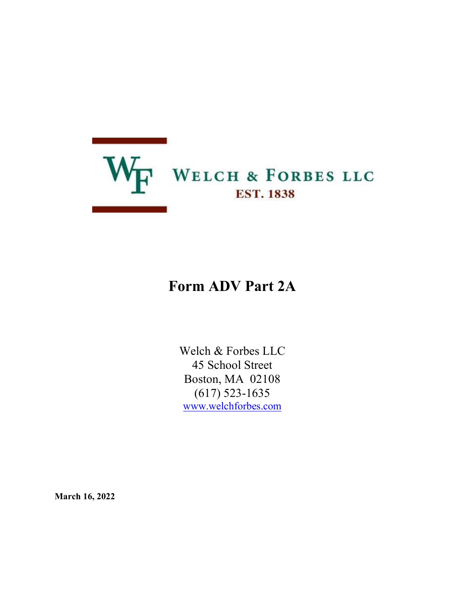

# Form ADV Part 2A

Welch & Forbes LLC 45 School Street Boston, MA 02108 (617) 523-1635 www.welchforbes.com

March 16, 2022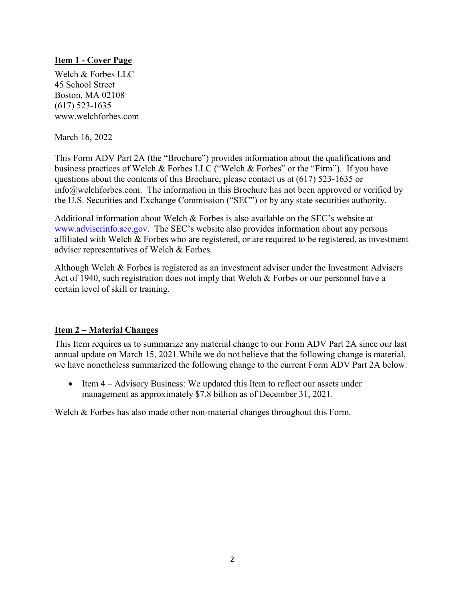## Item 1 - Cover Page

Welch & Forbes LLC 45 School Street Boston, MA 02108 (617) 523-1635 www.welchforbes.com

March 16, 2022

This Form ADV Part 2A (the "Brochure") provides information about the qualifications and business practices of Welch & Forbes LLC ("Welch & Forbes" or the "Firm"). If you have questions about the contents of this Brochure, please contact us at (617) 523-1635 or info@welchforbes.com. The information in this Brochure has not been approved or verified by the U.S. Securities and Exchange Commission ("SEC") or by any state securities authority.

Additional information about Welch & Forbes is also available on the SEC's website at www.adviserinfo.sec.gov. The SEC's website also provides information about any persons affiliated with Welch & Forbes who are registered, or are required to be registered, as investment adviser representatives of Welch & Forbes.

Although Welch & Forbes is registered as an investment adviser under the Investment Advisers Act of 1940, such registration does not imply that Welch & Forbes or our personnel have a certain level of skill or training.

#### Item 2 – Material Changes

This Item requires us to summarize any material change to our Form ADV Part 2A since our last annual update on March 15, 2021.While we do not believe that the following change is material, we have nonetheless summarized the following change to the current Form ADV Part 2A below:

• Item 4 – Advisory Business: We updated this Item to reflect our assets under management as approximately \$7.8 billion as of December 31, 2021.

Welch & Forbes has also made other non-material changes throughout this Form.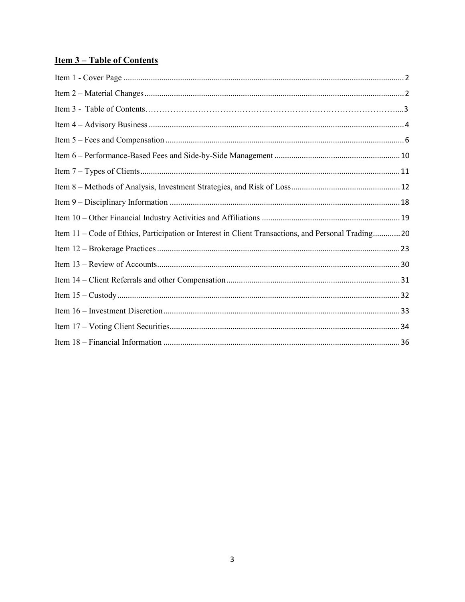## **Item 3-Table of Contents**

| Item 11 - Code of Ethics, Participation or Interest in Client Transactions, and Personal Trading 20 |  |
|-----------------------------------------------------------------------------------------------------|--|
|                                                                                                     |  |
|                                                                                                     |  |
|                                                                                                     |  |
|                                                                                                     |  |
|                                                                                                     |  |
|                                                                                                     |  |
|                                                                                                     |  |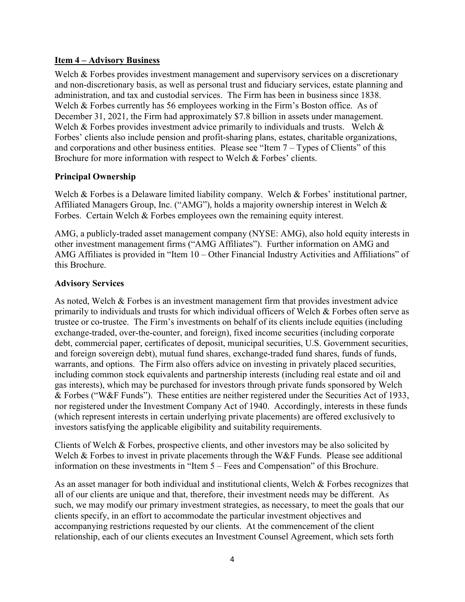#### Item 4 – Advisory Business

Welch & Forbes provides investment management and supervisory services on a discretionary and non-discretionary basis, as well as personal trust and fiduciary services, estate planning and administration, and tax and custodial services. The Firm has been in business since 1838. Welch & Forbes currently has 56 employees working in the Firm's Boston office. As of December 31, 2021, the Firm had approximately \$7.8 billion in assets under management. Welch & Forbes provides investment advice primarily to individuals and trusts. Welch & Forbes' clients also include pension and profit-sharing plans, estates, charitable organizations, and corporations and other business entities. Please see "Item  $7 - T$ ypes of Clients" of this Brochure for more information with respect to Welch & Forbes' clients.

## Principal Ownership

Welch & Forbes is a Delaware limited liability company. Welch & Forbes' institutional partner, Affiliated Managers Group, Inc. ("AMG"), holds a majority ownership interest in Welch & Forbes. Certain Welch & Forbes employees own the remaining equity interest.

AMG, a publicly-traded asset management company (NYSE: AMG), also hold equity interests in other investment management firms ("AMG Affiliates"). Further information on AMG and AMG Affiliates is provided in "Item 10 – Other Financial Industry Activities and Affiliations" of this Brochure.

#### Advisory Services

As noted, Welch & Forbes is an investment management firm that provides investment advice primarily to individuals and trusts for which individual officers of Welch & Forbes often serve as trustee or co-trustee. The Firm's investments on behalf of its clients include equities (including exchange-traded, over-the-counter, and foreign), fixed income securities (including corporate debt, commercial paper, certificates of deposit, municipal securities, U.S. Government securities, and foreign sovereign debt), mutual fund shares, exchange-traded fund shares, funds of funds, warrants, and options. The Firm also offers advice on investing in privately placed securities, including common stock equivalents and partnership interests (including real estate and oil and gas interests), which may be purchased for investors through private funds sponsored by Welch & Forbes ("W&F Funds"). These entities are neither registered under the Securities Act of 1933, nor registered under the Investment Company Act of 1940. Accordingly, interests in these funds (which represent interests in certain underlying private placements) are offered exclusively to investors satisfying the applicable eligibility and suitability requirements.

Clients of Welch & Forbes, prospective clients, and other investors may be also solicited by Welch & Forbes to invest in private placements through the W&F Funds. Please see additional information on these investments in "Item 5 – Fees and Compensation" of this Brochure.

As an asset manager for both individual and institutional clients, Welch & Forbes recognizes that all of our clients are unique and that, therefore, their investment needs may be different. As such, we may modify our primary investment strategies, as necessary, to meet the goals that our clients specify, in an effort to accommodate the particular investment objectives and accompanying restrictions requested by our clients. At the commencement of the client relationship, each of our clients executes an Investment Counsel Agreement, which sets forth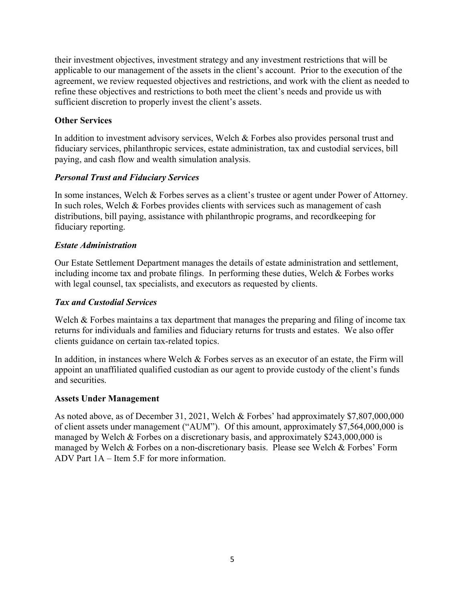their investment objectives, investment strategy and any investment restrictions that will be applicable to our management of the assets in the client's account. Prior to the execution of the agreement, we review requested objectives and restrictions, and work with the client as needed to refine these objectives and restrictions to both meet the client's needs and provide us with sufficient discretion to properly invest the client's assets.

## Other Services

In addition to investment advisory services, Welch & Forbes also provides personal trust and fiduciary services, philanthropic services, estate administration, tax and custodial services, bill paying, and cash flow and wealth simulation analysis.

## Personal Trust and Fiduciary Services

In some instances, Welch & Forbes serves as a client's trustee or agent under Power of Attorney. In such roles, Welch & Forbes provides clients with services such as management of cash distributions, bill paying, assistance with philanthropic programs, and recordkeeping for fiduciary reporting.

## Estate Administration

Our Estate Settlement Department manages the details of estate administration and settlement, including income tax and probate filings. In performing these duties, Welch & Forbes works with legal counsel, tax specialists, and executors as requested by clients.

## Tax and Custodial Services

Welch & Forbes maintains a tax department that manages the preparing and filing of income tax returns for individuals and families and fiduciary returns for trusts and estates. We also offer clients guidance on certain tax-related topics.

In addition, in instances where Welch & Forbes serves as an executor of an estate, the Firm will appoint an unaffiliated qualified custodian as our agent to provide custody of the client's funds and securities.

## Assets Under Management

As noted above, as of December 31, 2021, Welch & Forbes' had approximately \$7,807,000,000 of client assets under management ("AUM"). Of this amount, approximately \$7,564,000,000 is managed by Welch & Forbes on a discretionary basis, and approximately \$243,000,000 is managed by Welch & Forbes on a non-discretionary basis. Please see Welch & Forbes' Form ADV Part 1A – Item 5.F for more information.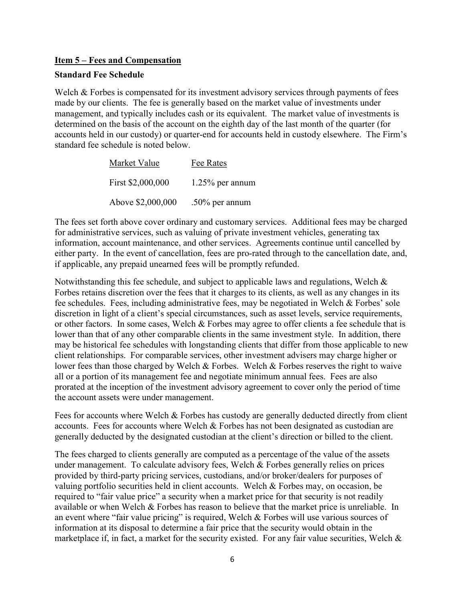#### Item 5 – Fees and Compensation

#### Standard Fee Schedule

Welch & Forbes is compensated for its investment advisory services through payments of fees made by our clients. The fee is generally based on the market value of investments under management, and typically includes cash or its equivalent. The market value of investments is determined on the basis of the account on the eighth day of the last month of the quarter (for accounts held in our custody) or quarter-end for accounts held in custody elsewhere. The Firm's standard fee schedule is noted below.

| Market Value      | Fee Rates          |
|-------------------|--------------------|
| First \$2,000,000 | $1.25\%$ per annum |
| Above \$2,000,000 | $.50\%$ per annum  |

The fees set forth above cover ordinary and customary services. Additional fees may be charged for administrative services, such as valuing of private investment vehicles, generating tax information, account maintenance, and other services. Agreements continue until cancelled by either party. In the event of cancellation, fees are pro-rated through to the cancellation date, and, if applicable, any prepaid unearned fees will be promptly refunded.

Notwithstanding this fee schedule, and subject to applicable laws and regulations, Welch & Forbes retains discretion over the fees that it charges to its clients, as well as any changes in its fee schedules. Fees, including administrative fees, may be negotiated in Welch & Forbes' sole discretion in light of a client's special circumstances, such as asset levels, service requirements, or other factors. In some cases, Welch & Forbes may agree to offer clients a fee schedule that is lower than that of any other comparable clients in the same investment style. In addition, there may be historical fee schedules with longstanding clients that differ from those applicable to new client relationships. For comparable services, other investment advisers may charge higher or lower fees than those charged by Welch & Forbes. Welch & Forbes reserves the right to waive all or a portion of its management fee and negotiate minimum annual fees. Fees are also prorated at the inception of the investment advisory agreement to cover only the period of time the account assets were under management.

Fees for accounts where Welch & Forbes has custody are generally deducted directly from client accounts. Fees for accounts where Welch & Forbes has not been designated as custodian are generally deducted by the designated custodian at the client's direction or billed to the client.

The fees charged to clients generally are computed as a percentage of the value of the assets under management. To calculate advisory fees, Welch & Forbes generally relies on prices provided by third-party pricing services, custodians, and/or broker/dealers for purposes of valuing portfolio securities held in client accounts. Welch & Forbes may, on occasion, be required to "fair value price" a security when a market price for that security is not readily available or when Welch & Forbes has reason to believe that the market price is unreliable. In an event where "fair value pricing" is required, Welch & Forbes will use various sources of information at its disposal to determine a fair price that the security would obtain in the marketplace if, in fact, a market for the security existed. For any fair value securities, Welch &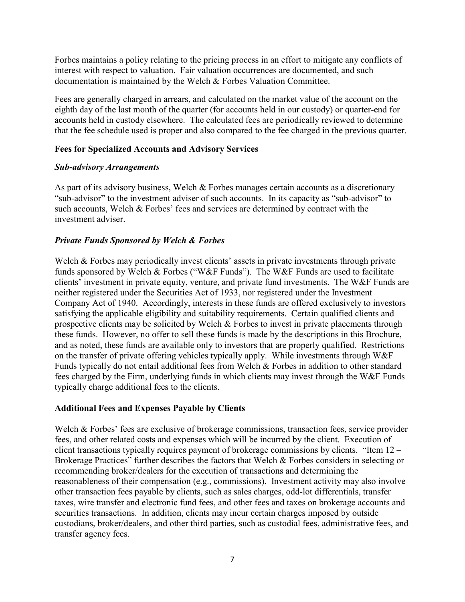Forbes maintains a policy relating to the pricing process in an effort to mitigate any conflicts of interest with respect to valuation. Fair valuation occurrences are documented, and such documentation is maintained by the Welch & Forbes Valuation Committee.

Fees are generally charged in arrears, and calculated on the market value of the account on the eighth day of the last month of the quarter (for accounts held in our custody) or quarter-end for accounts held in custody elsewhere. The calculated fees are periodically reviewed to determine that the fee schedule used is proper and also compared to the fee charged in the previous quarter.

#### Fees for Specialized Accounts and Advisory Services

#### Sub-advisory Arrangements

As part of its advisory business, Welch & Forbes manages certain accounts as a discretionary "sub-advisor" to the investment adviser of such accounts. In its capacity as "sub-advisor" to such accounts, Welch & Forbes' fees and services are determined by contract with the investment adviser.

## Private Funds Sponsored by Welch & Forbes

Welch & Forbes may periodically invest clients' assets in private investments through private funds sponsored by Welch & Forbes ("W&F Funds"). The W&F Funds are used to facilitate clients' investment in private equity, venture, and private fund investments. The W&F Funds are neither registered under the Securities Act of 1933, nor registered under the Investment Company Act of 1940. Accordingly, interests in these funds are offered exclusively to investors satisfying the applicable eligibility and suitability requirements. Certain qualified clients and prospective clients may be solicited by Welch & Forbes to invest in private placements through these funds. However, no offer to sell these funds is made by the descriptions in this Brochure, and as noted, these funds are available only to investors that are properly qualified. Restrictions on the transfer of private offering vehicles typically apply. While investments through W&F Funds typically do not entail additional fees from Welch & Forbes in addition to other standard fees charged by the Firm, underlying funds in which clients may invest through the W&F Funds typically charge additional fees to the clients.

#### Additional Fees and Expenses Payable by Clients

Welch & Forbes' fees are exclusive of brokerage commissions, transaction fees, service provider fees, and other related costs and expenses which will be incurred by the client. Execution of client transactions typically requires payment of brokerage commissions by clients. "Item 12 – Brokerage Practices" further describes the factors that Welch & Forbes considers in selecting or recommending broker/dealers for the execution of transactions and determining the reasonableness of their compensation (e.g., commissions). Investment activity may also involve other transaction fees payable by clients, such as sales charges, odd-lot differentials, transfer taxes, wire transfer and electronic fund fees, and other fees and taxes on brokerage accounts and securities transactions. In addition, clients may incur certain charges imposed by outside custodians, broker/dealers, and other third parties, such as custodial fees, administrative fees, and transfer agency fees.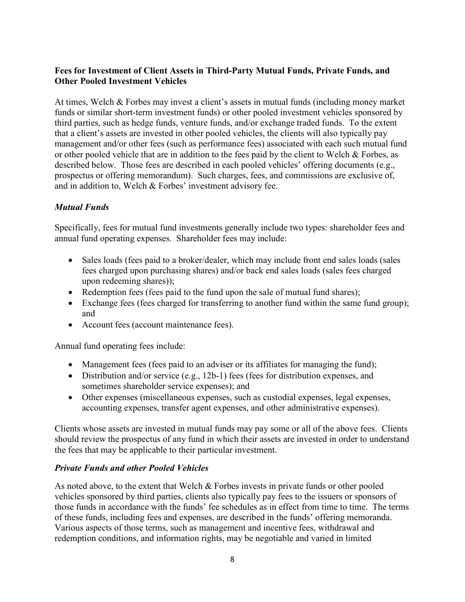## Fees for Investment of Client Assets in Third-Party Mutual Funds, Private Funds, and Other Pooled Investment Vehicles

At times, Welch & Forbes may invest a client's assets in mutual funds (including money market funds or similar short-term investment funds) or other pooled investment vehicles sponsored by third parties, such as hedge funds, venture funds, and/or exchange traded funds. To the extent that a client's assets are invested in other pooled vehicles, the clients will also typically pay management and/or other fees (such as performance fees) associated with each such mutual fund or other pooled vehicle that are in addition to the fees paid by the client to Welch  $\&$  Forbes, as described below. Those fees are described in each pooled vehicles' offering documents (e.g., prospectus or offering memorandum). Such charges, fees, and commissions are exclusive of, and in addition to, Welch & Forbes' investment advisory fee.

## Mutual Funds

Specifically, fees for mutual fund investments generally include two types: shareholder fees and annual fund operating expenses. Shareholder fees may include:

- Sales loads (fees paid to a broker/dealer, which may include front end sales loads (sales fees charged upon purchasing shares) and/or back end sales loads (sales fees charged upon redeeming shares));
- Redemption fees (fees paid to the fund upon the sale of mutual fund shares);
- Exchange fees (fees charged for transferring to another fund within the same fund group); and
- Account fees (account maintenance fees).

Annual fund operating fees include:

- Management fees (fees paid to an adviser or its affiliates for managing the fund);
- Distribution and/or service (e.g., 12b-1) fees (fees for distribution expenses, and sometimes shareholder service expenses); and
- Other expenses (miscellaneous expenses, such as custodial expenses, legal expenses, accounting expenses, transfer agent expenses, and other administrative expenses).

Clients whose assets are invested in mutual funds may pay some or all of the above fees. Clients should review the prospectus of any fund in which their assets are invested in order to understand the fees that may be applicable to their particular investment.

## Private Funds and other Pooled Vehicles

As noted above, to the extent that Welch & Forbes invests in private funds or other pooled vehicles sponsored by third parties, clients also typically pay fees to the issuers or sponsors of those funds in accordance with the funds' fee schedules as in effect from time to time. The terms of these funds, including fees and expenses, are described in the funds' offering memoranda. Various aspects of those terms, such as management and incentive fees, withdrawal and redemption conditions, and information rights, may be negotiable and varied in limited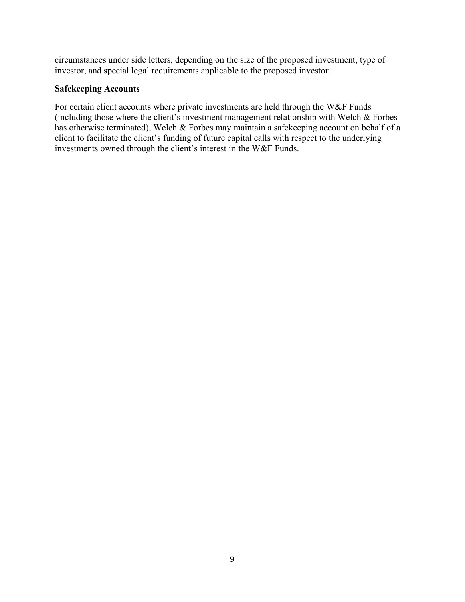circumstances under side letters, depending on the size of the proposed investment, type of investor, and special legal requirements applicable to the proposed investor.

#### Safekeeping Accounts

For certain client accounts where private investments are held through the W&F Funds (including those where the client's investment management relationship with Welch & Forbes has otherwise terminated), Welch & Forbes may maintain a safekeeping account on behalf of a client to facilitate the client's funding of future capital calls with respect to the underlying investments owned through the client's interest in the W&F Funds.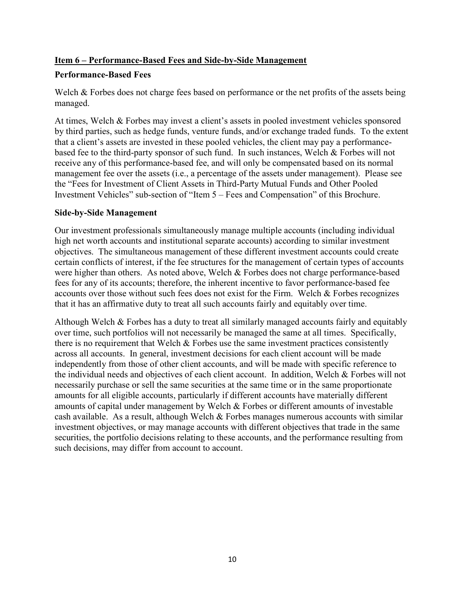## Item 6 – Performance-Based Fees and Side-by-Side Management

## Performance-Based Fees

Welch & Forbes does not charge fees based on performance or the net profits of the assets being managed.

At times, Welch & Forbes may invest a client's assets in pooled investment vehicles sponsored by third parties, such as hedge funds, venture funds, and/or exchange traded funds. To the extent that a client's assets are invested in these pooled vehicles, the client may pay a performancebased fee to the third-party sponsor of such fund. In such instances, Welch & Forbes will not receive any of this performance-based fee, and will only be compensated based on its normal management fee over the assets (i.e., a percentage of the assets under management). Please see the "Fees for Investment of Client Assets in Third-Party Mutual Funds and Other Pooled Investment Vehicles" sub-section of "Item 5 – Fees and Compensation" of this Brochure.

#### Side-by-Side Management

Our investment professionals simultaneously manage multiple accounts (including individual high net worth accounts and institutional separate accounts) according to similar investment objectives. The simultaneous management of these different investment accounts could create certain conflicts of interest, if the fee structures for the management of certain types of accounts were higher than others. As noted above, Welch & Forbes does not charge performance-based fees for any of its accounts; therefore, the inherent incentive to favor performance-based fee accounts over those without such fees does not exist for the Firm. Welch & Forbes recognizes that it has an affirmative duty to treat all such accounts fairly and equitably over time.

Although Welch & Forbes has a duty to treat all similarly managed accounts fairly and equitably over time, such portfolios will not necessarily be managed the same at all times. Specifically, there is no requirement that Welch  $\&$  Forbes use the same investment practices consistently across all accounts. In general, investment decisions for each client account will be made independently from those of other client accounts, and will be made with specific reference to the individual needs and objectives of each client account. In addition, Welch & Forbes will not necessarily purchase or sell the same securities at the same time or in the same proportionate amounts for all eligible accounts, particularly if different accounts have materially different amounts of capital under management by Welch & Forbes or different amounts of investable cash available. As a result, although Welch & Forbes manages numerous accounts with similar investment objectives, or may manage accounts with different objectives that trade in the same securities, the portfolio decisions relating to these accounts, and the performance resulting from such decisions, may differ from account to account.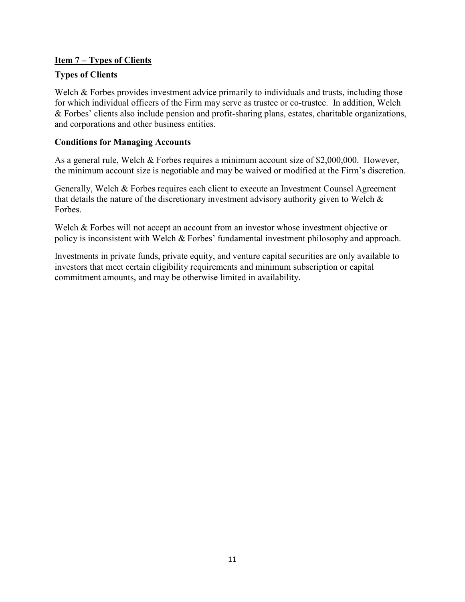## Item 7 – Types of Clients

## Types of Clients

Welch & Forbes provides investment advice primarily to individuals and trusts, including those for which individual officers of the Firm may serve as trustee or co-trustee. In addition, Welch & Forbes' clients also include pension and profit-sharing plans, estates, charitable organizations, and corporations and other business entities.

## Conditions for Managing Accounts

As a general rule, Welch & Forbes requires a minimum account size of \$2,000,000. However, the minimum account size is negotiable and may be waived or modified at the Firm's discretion.

Generally, Welch & Forbes requires each client to execute an Investment Counsel Agreement that details the nature of the discretionary investment advisory authority given to Welch  $\&$ Forbes.

Welch & Forbes will not accept an account from an investor whose investment objective or policy is inconsistent with Welch & Forbes' fundamental investment philosophy and approach.

Investments in private funds, private equity, and venture capital securities are only available to investors that meet certain eligibility requirements and minimum subscription or capital commitment amounts, and may be otherwise limited in availability.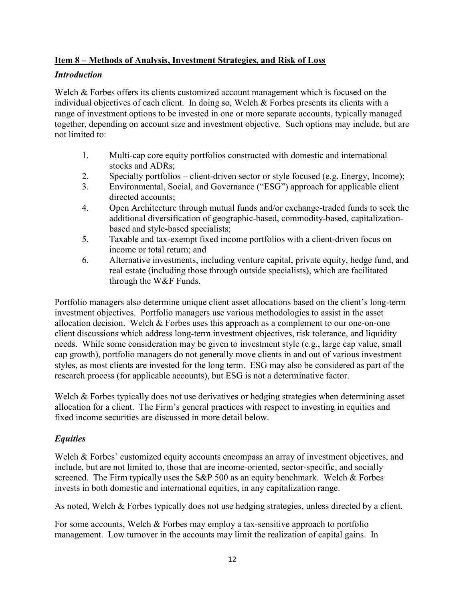## Item 8 – Methods of Analysis, Investment Strategies, and Risk of Loss

#### **Introduction**

Welch & Forbes offers its clients customized account management which is focused on the individual objectives of each client. In doing so, Welch & Forbes presents its clients with a range of investment options to be invested in one or more separate accounts, typically managed together, depending on account size and investment objective. Such options may include, but are not limited to:

- 1. Multi-cap core equity portfolios constructed with domestic and international stocks and ADRs;
- 2. Specialty portfolios client-driven sector or style focused (e.g. Energy, Income);
- 3. Environmental, Social, and Governance ("ESG") approach for applicable client directed accounts;
- 4. Open Architecture through mutual funds and/or exchange-traded funds to seek the additional diversification of geographic-based, commodity-based, capitalizationbased and style-based specialists;
- 5. Taxable and tax-exempt fixed income portfolios with a client-driven focus on income or total return; and
- 6. Alternative investments, including venture capital, private equity, hedge fund, and real estate (including those through outside specialists), which are facilitated through the W&F Funds.

Portfolio managers also determine unique client asset allocations based on the client's long-term investment objectives. Portfolio managers use various methodologies to assist in the asset allocation decision. Welch & Forbes uses this approach as a complement to our one-on-one client discussions which address long-term investment objectives, risk tolerance, and liquidity needs. While some consideration may be given to investment style (e.g., large cap value, small cap growth), portfolio managers do not generally move clients in and out of various investment styles, as most clients are invested for the long term. ESG may also be considered as part of the research process (for applicable accounts), but ESG is not a determinative factor.

Welch & Forbes typically does not use derivatives or hedging strategies when determining asset allocation for a client. The Firm's general practices with respect to investing in equities and fixed income securities are discussed in more detail below.

## **Equities**

Welch & Forbes' customized equity accounts encompass an array of investment objectives, and include, but are not limited to, those that are income-oriented, sector-specific, and socially screened. The Firm typically uses the S&P 500 as an equity benchmark. Welch & Forbes invests in both domestic and international equities, in any capitalization range.

As noted, Welch & Forbes typically does not use hedging strategies, unless directed by a client.

For some accounts, Welch & Forbes may employ a tax-sensitive approach to portfolio management. Low turnover in the accounts may limit the realization of capital gains. In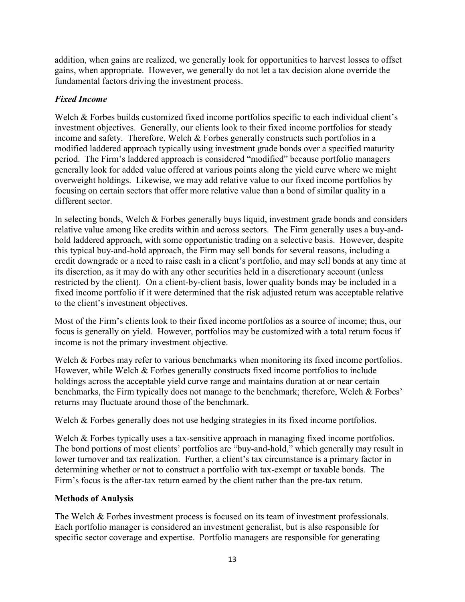addition, when gains are realized, we generally look for opportunities to harvest losses to offset gains, when appropriate. However, we generally do not let a tax decision alone override the fundamental factors driving the investment process.

## Fixed Income

Welch & Forbes builds customized fixed income portfolios specific to each individual client's investment objectives. Generally, our clients look to their fixed income portfolios for steady income and safety. Therefore, Welch & Forbes generally constructs such portfolios in a modified laddered approach typically using investment grade bonds over a specified maturity period. The Firm's laddered approach is considered "modified" because portfolio managers generally look for added value offered at various points along the yield curve where we might overweight holdings. Likewise, we may add relative value to our fixed income portfolios by focusing on certain sectors that offer more relative value than a bond of similar quality in a different sector.

In selecting bonds, Welch & Forbes generally buys liquid, investment grade bonds and considers relative value among like credits within and across sectors. The Firm generally uses a buy-andhold laddered approach, with some opportunistic trading on a selective basis. However, despite this typical buy-and-hold approach, the Firm may sell bonds for several reasons, including a credit downgrade or a need to raise cash in a client's portfolio, and may sell bonds at any time at its discretion, as it may do with any other securities held in a discretionary account (unless restricted by the client). On a client-by-client basis, lower quality bonds may be included in a fixed income portfolio if it were determined that the risk adjusted return was acceptable relative to the client's investment objectives.

Most of the Firm's clients look to their fixed income portfolios as a source of income; thus, our focus is generally on yield. However, portfolios may be customized with a total return focus if income is not the primary investment objective.

Welch & Forbes may refer to various benchmarks when monitoring its fixed income portfolios. However, while Welch & Forbes generally constructs fixed income portfolios to include holdings across the acceptable yield curve range and maintains duration at or near certain benchmarks, the Firm typically does not manage to the benchmark; therefore, Welch & Forbes' returns may fluctuate around those of the benchmark.

Welch & Forbes generally does not use hedging strategies in its fixed income portfolios.

Welch & Forbes typically uses a tax-sensitive approach in managing fixed income portfolios. The bond portions of most clients' portfolios are "buy-and-hold," which generally may result in lower turnover and tax realization. Further, a client's tax circumstance is a primary factor in determining whether or not to construct a portfolio with tax-exempt or taxable bonds. The Firm's focus is the after-tax return earned by the client rather than the pre-tax return.

## Methods of Analysis

The Welch & Forbes investment process is focused on its team of investment professionals. Each portfolio manager is considered an investment generalist, but is also responsible for specific sector coverage and expertise. Portfolio managers are responsible for generating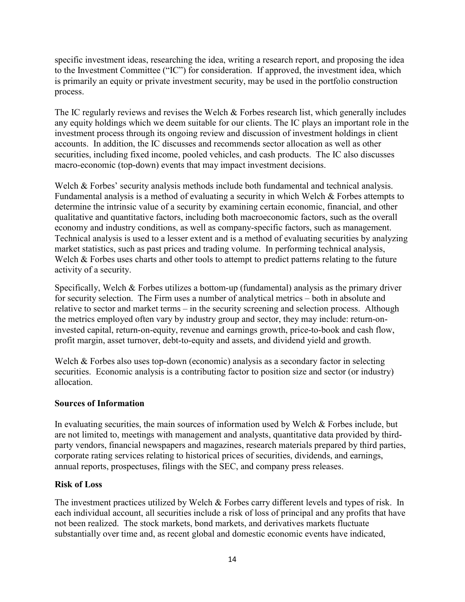specific investment ideas, researching the idea, writing a research report, and proposing the idea to the Investment Committee ("IC") for consideration. If approved, the investment idea, which is primarily an equity or private investment security, may be used in the portfolio construction process.

The IC regularly reviews and revises the Welch & Forbes research list, which generally includes any equity holdings which we deem suitable for our clients. The IC plays an important role in the investment process through its ongoing review and discussion of investment holdings in client accounts. In addition, the IC discusses and recommends sector allocation as well as other securities, including fixed income, pooled vehicles, and cash products. The IC also discusses macro-economic (top-down) events that may impact investment decisions.

Welch & Forbes' security analysis methods include both fundamental and technical analysis. Fundamental analysis is a method of evaluating a security in which Welch & Forbes attempts to determine the intrinsic value of a security by examining certain economic, financial, and other qualitative and quantitative factors, including both macroeconomic factors, such as the overall economy and industry conditions, as well as company-specific factors, such as management. Technical analysis is used to a lesser extent and is a method of evaluating securities by analyzing market statistics, such as past prices and trading volume. In performing technical analysis, Welch & Forbes uses charts and other tools to attempt to predict patterns relating to the future activity of a security.

Specifically, Welch & Forbes utilizes a bottom-up (fundamental) analysis as the primary driver for security selection. The Firm uses a number of analytical metrics – both in absolute and relative to sector and market terms – in the security screening and selection process. Although the metrics employed often vary by industry group and sector, they may include: return-oninvested capital, return-on-equity, revenue and earnings growth, price-to-book and cash flow, profit margin, asset turnover, debt-to-equity and assets, and dividend yield and growth.

Welch & Forbes also uses top-down (economic) analysis as a secondary factor in selecting securities. Economic analysis is a contributing factor to position size and sector (or industry) allocation.

#### Sources of Information

In evaluating securities, the main sources of information used by Welch & Forbes include, but are not limited to, meetings with management and analysts, quantitative data provided by thirdparty vendors, financial newspapers and magazines, research materials prepared by third parties, corporate rating services relating to historical prices of securities, dividends, and earnings, annual reports, prospectuses, filings with the SEC, and company press releases.

#### Risk of Loss

The investment practices utilized by Welch & Forbes carry different levels and types of risk. In each individual account, all securities include a risk of loss of principal and any profits that have not been realized. The stock markets, bond markets, and derivatives markets fluctuate substantially over time and, as recent global and domestic economic events have indicated,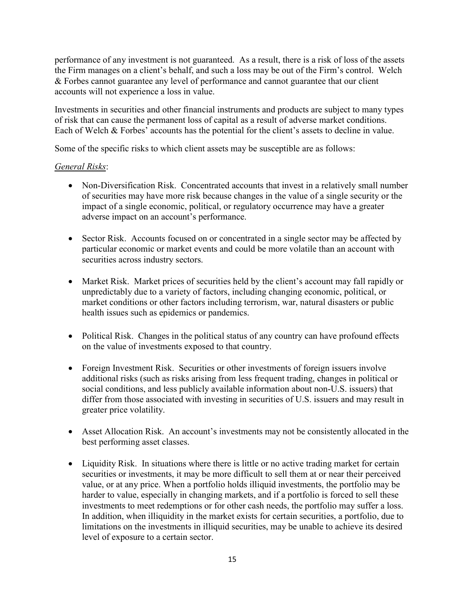performance of any investment is not guaranteed. As a result, there is a risk of loss of the assets the Firm manages on a client's behalf, and such a loss may be out of the Firm's control. Welch & Forbes cannot guarantee any level of performance and cannot guarantee that our client accounts will not experience a loss in value.

Investments in securities and other financial instruments and products are subject to many types of risk that can cause the permanent loss of capital as a result of adverse market conditions. Each of Welch & Forbes' accounts has the potential for the client's assets to decline in value.

Some of the specific risks to which client assets may be susceptible are as follows:

#### General Risks:

- Non-Diversification Risk. Concentrated accounts that invest in a relatively small number of securities may have more risk because changes in the value of a single security or the impact of a single economic, political, or regulatory occurrence may have a greater adverse impact on an account's performance.
- Sector Risk. Accounts focused on or concentrated in a single sector may be affected by particular economic or market events and could be more volatile than an account with securities across industry sectors.
- Market Risk. Market prices of securities held by the client's account may fall rapidly or unpredictably due to a variety of factors, including changing economic, political, or market conditions or other factors including terrorism, war, natural disasters or public health issues such as epidemics or pandemics.
- Political Risk. Changes in the political status of any country can have profound effects on the value of investments exposed to that country.
- Foreign Investment Risk. Securities or other investments of foreign issuers involve additional risks (such as risks arising from less frequent trading, changes in political or social conditions, and less publicly available information about non-U.S. issuers) that differ from those associated with investing in securities of U.S. issuers and may result in greater price volatility.
- Asset Allocation Risk. An account's investments may not be consistently allocated in the best performing asset classes.
- Liquidity Risk. In situations where there is little or no active trading market for certain securities or investments, it may be more difficult to sell them at or near their perceived value, or at any price. When a portfolio holds illiquid investments, the portfolio may be harder to value, especially in changing markets, and if a portfolio is forced to sell these investments to meet redemptions or for other cash needs, the portfolio may suffer a loss. In addition, when illiquidity in the market exists for certain securities, a portfolio, due to limitations on the investments in illiquid securities, may be unable to achieve its desired level of exposure to a certain sector.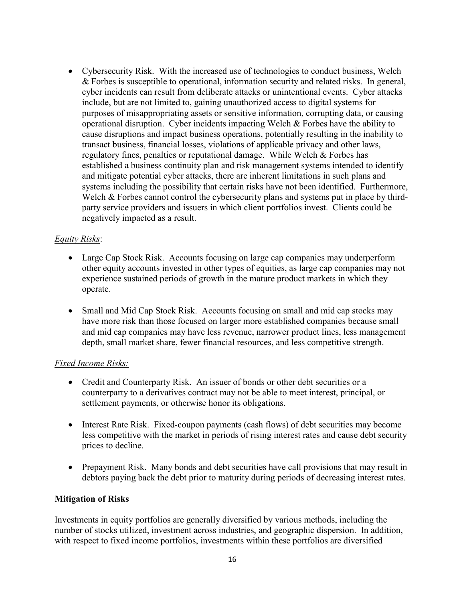Cybersecurity Risk. With the increased use of technologies to conduct business, Welch & Forbes is susceptible to operational, information security and related risks. In general, cyber incidents can result from deliberate attacks or unintentional events. Cyber attacks include, but are not limited to, gaining unauthorized access to digital systems for purposes of misappropriating assets or sensitive information, corrupting data, or causing operational disruption. Cyber incidents impacting Welch & Forbes have the ability to cause disruptions and impact business operations, potentially resulting in the inability to transact business, financial losses, violations of applicable privacy and other laws, regulatory fines, penalties or reputational damage. While Welch & Forbes has established a business continuity plan and risk management systems intended to identify and mitigate potential cyber attacks, there are inherent limitations in such plans and systems including the possibility that certain risks have not been identified. Furthermore, Welch & Forbes cannot control the cybersecurity plans and systems put in place by thirdparty service providers and issuers in which client portfolios invest. Clients could be negatively impacted as a result.

## Equity Risks:

- Large Cap Stock Risk. Accounts focusing on large cap companies may underperform other equity accounts invested in other types of equities, as large cap companies may not experience sustained periods of growth in the mature product markets in which they operate.
- Small and Mid Cap Stock Risk. Accounts focusing on small and mid cap stocks may have more risk than those focused on larger more established companies because small and mid cap companies may have less revenue, narrower product lines, less management depth, small market share, fewer financial resources, and less competitive strength.

## Fixed Income Risks:

- Credit and Counterparty Risk. An issuer of bonds or other debt securities or a counterparty to a derivatives contract may not be able to meet interest, principal, or settlement payments, or otherwise honor its obligations.
- Interest Rate Risk. Fixed-coupon payments (cash flows) of debt securities may become less competitive with the market in periods of rising interest rates and cause debt security prices to decline.
- Prepayment Risk. Many bonds and debt securities have call provisions that may result in debtors paying back the debt prior to maturity during periods of decreasing interest rates.

## Mitigation of Risks

Investments in equity portfolios are generally diversified by various methods, including the number of stocks utilized, investment across industries, and geographic dispersion. In addition, with respect to fixed income portfolios, investments within these portfolios are diversified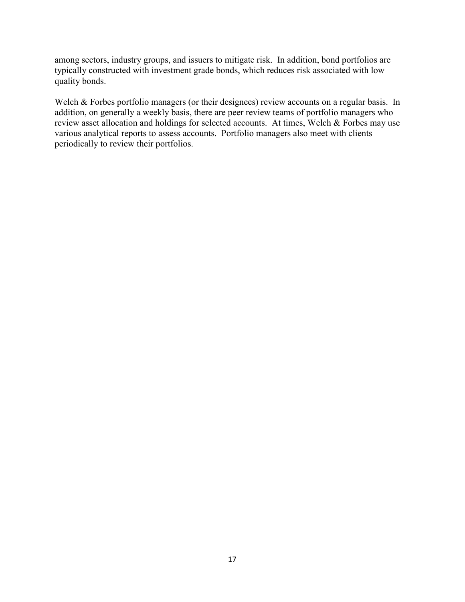among sectors, industry groups, and issuers to mitigate risk. In addition, bond portfolios are typically constructed with investment grade bonds, which reduces risk associated with low quality bonds.

Welch & Forbes portfolio managers (or their designees) review accounts on a regular basis. In addition, on generally a weekly basis, there are peer review teams of portfolio managers who review asset allocation and holdings for selected accounts. At times, Welch & Forbes may use various analytical reports to assess accounts. Portfolio managers also meet with clients periodically to review their portfolios.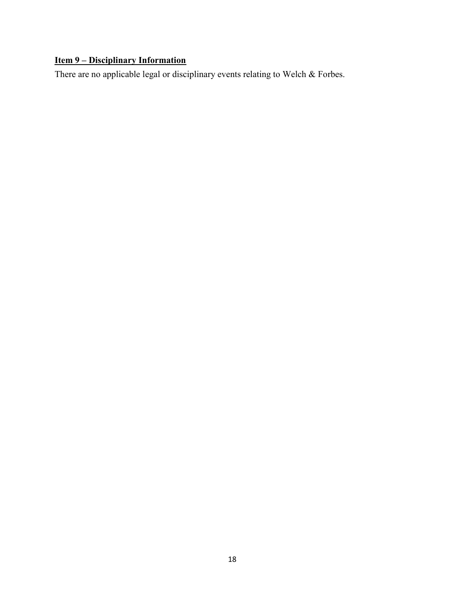## Item 9 – Disciplinary Information

There are no applicable legal or disciplinary events relating to Welch & Forbes.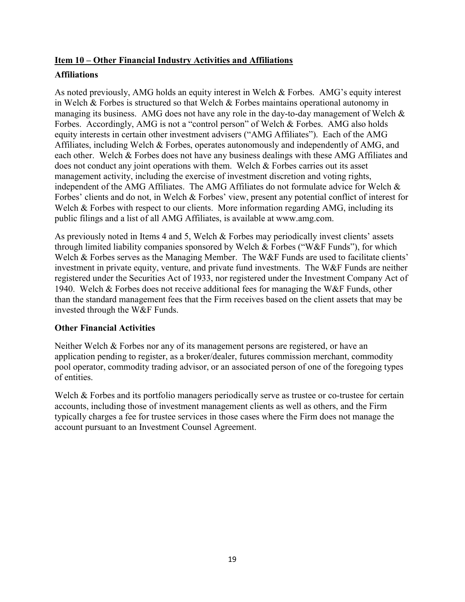## Item 10 – Other Financial Industry Activities and Affiliations

#### **Affiliations**

As noted previously, AMG holds an equity interest in Welch & Forbes. AMG's equity interest in Welch & Forbes is structured so that Welch & Forbes maintains operational autonomy in managing its business. AMG does not have any role in the day-to-day management of Welch & Forbes. Accordingly, AMG is not a "control person" of Welch & Forbes. AMG also holds equity interests in certain other investment advisers ("AMG Affiliates"). Each of the AMG Affiliates, including Welch & Forbes, operates autonomously and independently of AMG, and each other. Welch & Forbes does not have any business dealings with these AMG Affiliates and does not conduct any joint operations with them. Welch & Forbes carries out its asset management activity, including the exercise of investment discretion and voting rights, independent of the AMG Affiliates. The AMG Affiliates do not formulate advice for Welch & Forbes' clients and do not, in Welch & Forbes' view, present any potential conflict of interest for Welch & Forbes with respect to our clients. More information regarding AMG, including its public filings and a list of all AMG Affiliates, is available at www.amg.com.

As previously noted in Items 4 and 5, Welch & Forbes may periodically invest clients' assets through limited liability companies sponsored by Welch & Forbes ("W&F Funds"), for which Welch & Forbes serves as the Managing Member. The W&F Funds are used to facilitate clients' investment in private equity, venture, and private fund investments. The W&F Funds are neither registered under the Securities Act of 1933, nor registered under the Investment Company Act of 1940. Welch & Forbes does not receive additional fees for managing the W&F Funds, other than the standard management fees that the Firm receives based on the client assets that may be invested through the W&F Funds.

## Other Financial Activities

Neither Welch & Forbes nor any of its management persons are registered, or have an application pending to register, as a broker/dealer, futures commission merchant, commodity pool operator, commodity trading advisor, or an associated person of one of the foregoing types of entities.

Welch & Forbes and its portfolio managers periodically serve as trustee or co-trustee for certain accounts, including those of investment management clients as well as others, and the Firm typically charges a fee for trustee services in those cases where the Firm does not manage the account pursuant to an Investment Counsel Agreement.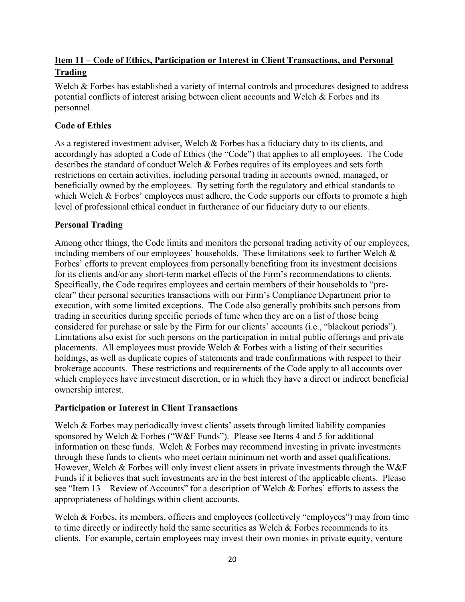## Item 11 – Code of Ethics, Participation or Interest in Client Transactions, and Personal Trading

Welch & Forbes has established a variety of internal controls and procedures designed to address potential conflicts of interest arising between client accounts and Welch & Forbes and its personnel.

## Code of Ethics

As a registered investment adviser, Welch & Forbes has a fiduciary duty to its clients, and accordingly has adopted a Code of Ethics (the "Code") that applies to all employees. The Code describes the standard of conduct Welch & Forbes requires of its employees and sets forth restrictions on certain activities, including personal trading in accounts owned, managed, or beneficially owned by the employees. By setting forth the regulatory and ethical standards to which Welch & Forbes' employees must adhere, the Code supports our efforts to promote a high level of professional ethical conduct in furtherance of our fiduciary duty to our clients.

## Personal Trading

Among other things, the Code limits and monitors the personal trading activity of our employees, including members of our employees' households. These limitations seek to further Welch & Forbes' efforts to prevent employees from personally benefiting from its investment decisions for its clients and/or any short-term market effects of the Firm's recommendations to clients. Specifically, the Code requires employees and certain members of their households to "preclear" their personal securities transactions with our Firm's Compliance Department prior to execution, with some limited exceptions. The Code also generally prohibits such persons from trading in securities during specific periods of time when they are on a list of those being considered for purchase or sale by the Firm for our clients' accounts (i.e., "blackout periods"). Limitations also exist for such persons on the participation in initial public offerings and private placements. All employees must provide Welch & Forbes with a listing of their securities holdings, as well as duplicate copies of statements and trade confirmations with respect to their brokerage accounts. These restrictions and requirements of the Code apply to all accounts over which employees have investment discretion, or in which they have a direct or indirect beneficial ownership interest.

## Participation or Interest in Client Transactions

Welch & Forbes may periodically invest clients' assets through limited liability companies sponsored by Welch & Forbes ("W&F Funds"). Please see Items 4 and 5 for additional information on these funds. Welch & Forbes may recommend investing in private investments through these funds to clients who meet certain minimum net worth and asset qualifications. However, Welch & Forbes will only invest client assets in private investments through the W&F Funds if it believes that such investments are in the best interest of the applicable clients. Please see "Item 13 – Review of Accounts" for a description of Welch & Forbes' efforts to assess the appropriateness of holdings within client accounts.

Welch & Forbes, its members, officers and employees (collectively "employees") may from time to time directly or indirectly hold the same securities as Welch & Forbes recommends to its clients. For example, certain employees may invest their own monies in private equity, venture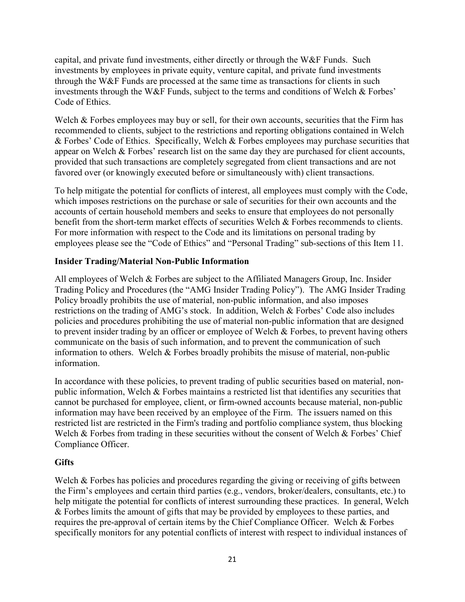capital, and private fund investments, either directly or through the W&F Funds. Such investments by employees in private equity, venture capital, and private fund investments through the W&F Funds are processed at the same time as transactions for clients in such investments through the W&F Funds, subject to the terms and conditions of Welch & Forbes' Code of Ethics.

Welch & Forbes employees may buy or sell, for their own accounts, securities that the Firm has recommended to clients, subject to the restrictions and reporting obligations contained in Welch & Forbes' Code of Ethics. Specifically, Welch & Forbes employees may purchase securities that appear on Welch & Forbes' research list on the same day they are purchased for client accounts, provided that such transactions are completely segregated from client transactions and are not favored over (or knowingly executed before or simultaneously with) client transactions.

To help mitigate the potential for conflicts of interest, all employees must comply with the Code, which imposes restrictions on the purchase or sale of securities for their own accounts and the accounts of certain household members and seeks to ensure that employees do not personally benefit from the short-term market effects of securities Welch & Forbes recommends to clients. For more information with respect to the Code and its limitations on personal trading by employees please see the "Code of Ethics" and "Personal Trading" sub-sections of this Item 11.

## Insider Trading/Material Non-Public Information

All employees of Welch & Forbes are subject to the Affiliated Managers Group, Inc. Insider Trading Policy and Procedures (the "AMG Insider Trading Policy"). The AMG Insider Trading Policy broadly prohibits the use of material, non-public information, and also imposes restrictions on the trading of AMG's stock. In addition, Welch & Forbes' Code also includes policies and procedures prohibiting the use of material non-public information that are designed to prevent insider trading by an officer or employee of Welch & Forbes, to prevent having others communicate on the basis of such information, and to prevent the communication of such information to others. Welch & Forbes broadly prohibits the misuse of material, non-public information.

In accordance with these policies, to prevent trading of public securities based on material, nonpublic information, Welch & Forbes maintains a restricted list that identifies any securities that cannot be purchased for employee, client, or firm-owned accounts because material, non-public information may have been received by an employee of the Firm. The issuers named on this restricted list are restricted in the Firm's trading and portfolio compliance system, thus blocking Welch & Forbes from trading in these securities without the consent of Welch & Forbes' Chief Compliance Officer.

## **Gifts**

Welch & Forbes has policies and procedures regarding the giving or receiving of gifts between the Firm's employees and certain third parties (e.g., vendors, broker/dealers, consultants, etc.) to help mitigate the potential for conflicts of interest surrounding these practices. In general, Welch & Forbes limits the amount of gifts that may be provided by employees to these parties, and requires the pre-approval of certain items by the Chief Compliance Officer. Welch & Forbes specifically monitors for any potential conflicts of interest with respect to individual instances of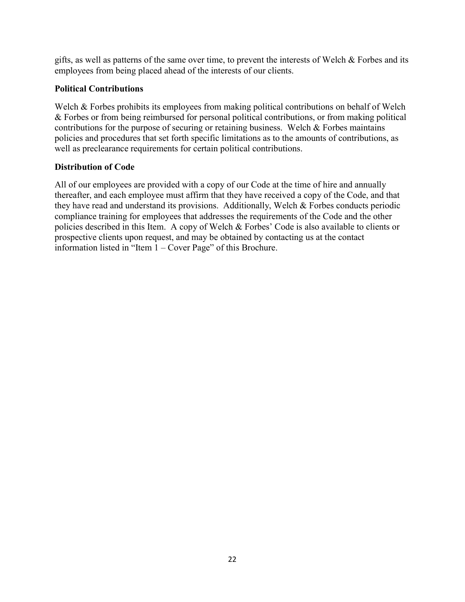gifts, as well as patterns of the same over time, to prevent the interests of Welch & Forbes and its employees from being placed ahead of the interests of our clients.

## Political Contributions

Welch & Forbes prohibits its employees from making political contributions on behalf of Welch & Forbes or from being reimbursed for personal political contributions, or from making political contributions for the purpose of securing or retaining business. Welch & Forbes maintains policies and procedures that set forth specific limitations as to the amounts of contributions, as well as preclearance requirements for certain political contributions.

## Distribution of Code

All of our employees are provided with a copy of our Code at the time of hire and annually thereafter, and each employee must affirm that they have received a copy of the Code, and that they have read and understand its provisions. Additionally, Welch & Forbes conducts periodic compliance training for employees that addresses the requirements of the Code and the other policies described in this Item. A copy of Welch & Forbes' Code is also available to clients or prospective clients upon request, and may be obtained by contacting us at the contact information listed in "Item 1 – Cover Page" of this Brochure.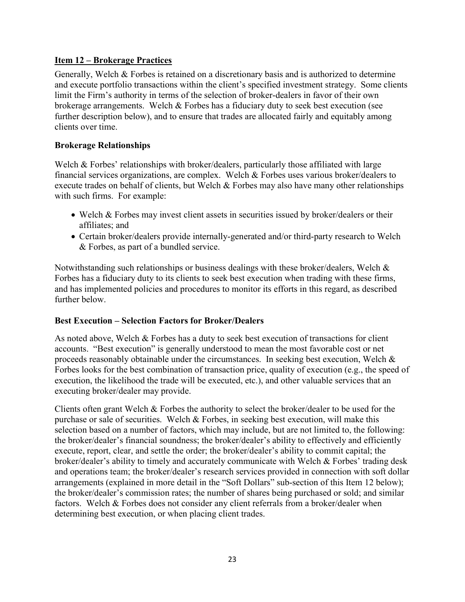#### Item 12 – Brokerage Practices

Generally, Welch & Forbes is retained on a discretionary basis and is authorized to determine and execute portfolio transactions within the client's specified investment strategy. Some clients limit the Firm's authority in terms of the selection of broker-dealers in favor of their own brokerage arrangements. Welch & Forbes has a fiduciary duty to seek best execution (see further description below), and to ensure that trades are allocated fairly and equitably among clients over time.

#### Brokerage Relationships

Welch & Forbes' relationships with broker/dealers, particularly those affiliated with large financial services organizations, are complex. Welch & Forbes uses various broker/dealers to execute trades on behalf of clients, but Welch & Forbes may also have many other relationships with such firms. For example:

- Welch & Forbes may invest client assets in securities issued by broker/dealers or their affiliates; and
- Certain broker/dealers provide internally-generated and/or third-party research to Welch & Forbes, as part of a bundled service.

Notwithstanding such relationships or business dealings with these broker/dealers, Welch  $\&$ Forbes has a fiduciary duty to its clients to seek best execution when trading with these firms, and has implemented policies and procedures to monitor its efforts in this regard, as described further below.

#### Best Execution – Selection Factors for Broker/Dealers

As noted above, Welch & Forbes has a duty to seek best execution of transactions for client accounts. "Best execution" is generally understood to mean the most favorable cost or net proceeds reasonably obtainable under the circumstances. In seeking best execution, Welch & Forbes looks for the best combination of transaction price, quality of execution (e.g., the speed of execution, the likelihood the trade will be executed, etc.), and other valuable services that an executing broker/dealer may provide.

Clients often grant Welch & Forbes the authority to select the broker/dealer to be used for the purchase or sale of securities. Welch & Forbes, in seeking best execution, will make this selection based on a number of factors, which may include, but are not limited to, the following: the broker/dealer's financial soundness; the broker/dealer's ability to effectively and efficiently execute, report, clear, and settle the order; the broker/dealer's ability to commit capital; the broker/dealer's ability to timely and accurately communicate with Welch & Forbes' trading desk and operations team; the broker/dealer's research services provided in connection with soft dollar arrangements (explained in more detail in the "Soft Dollars" sub-section of this Item 12 below); the broker/dealer's commission rates; the number of shares being purchased or sold; and similar factors. Welch & Forbes does not consider any client referrals from a broker/dealer when determining best execution, or when placing client trades.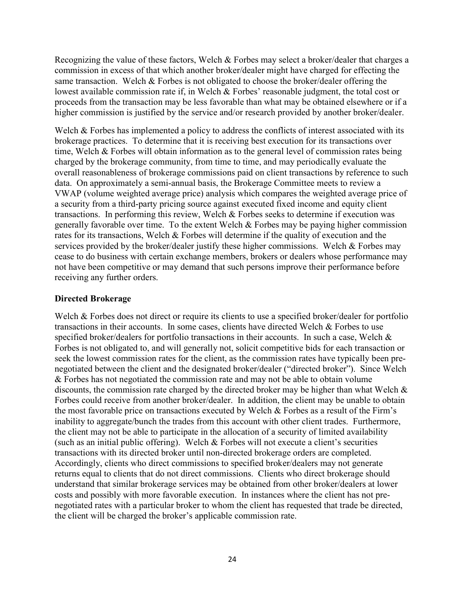Recognizing the value of these factors, Welch & Forbes may select a broker/dealer that charges a commission in excess of that which another broker/dealer might have charged for effecting the same transaction. Welch & Forbes is not obligated to choose the broker/dealer offering the lowest available commission rate if, in Welch & Forbes' reasonable judgment, the total cost or proceeds from the transaction may be less favorable than what may be obtained elsewhere or if a higher commission is justified by the service and/or research provided by another broker/dealer.

Welch & Forbes has implemented a policy to address the conflicts of interest associated with its brokerage practices. To determine that it is receiving best execution for its transactions over time, Welch & Forbes will obtain information as to the general level of commission rates being charged by the brokerage community, from time to time, and may periodically evaluate the overall reasonableness of brokerage commissions paid on client transactions by reference to such data. On approximately a semi-annual basis, the Brokerage Committee meets to review a VWAP (volume weighted average price) analysis which compares the weighted average price of a security from a third-party pricing source against executed fixed income and equity client transactions. In performing this review, Welch & Forbes seeks to determine if execution was generally favorable over time. To the extent Welch & Forbes may be paying higher commission rates for its transactions, Welch & Forbes will determine if the quality of execution and the services provided by the broker/dealer justify these higher commissions. Welch & Forbes may cease to do business with certain exchange members, brokers or dealers whose performance may not have been competitive or may demand that such persons improve their performance before receiving any further orders.

#### Directed Brokerage

Welch & Forbes does not direct or require its clients to use a specified broker/dealer for portfolio transactions in their accounts. In some cases, clients have directed Welch & Forbes to use specified broker/dealers for portfolio transactions in their accounts. In such a case, Welch & Forbes is not obligated to, and will generally not, solicit competitive bids for each transaction or seek the lowest commission rates for the client, as the commission rates have typically been prenegotiated between the client and the designated broker/dealer ("directed broker"). Since Welch & Forbes has not negotiated the commission rate and may not be able to obtain volume discounts, the commission rate charged by the directed broker may be higher than what Welch & Forbes could receive from another broker/dealer. In addition, the client may be unable to obtain the most favorable price on transactions executed by Welch & Forbes as a result of the Firm's inability to aggregate/bunch the trades from this account with other client trades. Furthermore, the client may not be able to participate in the allocation of a security of limited availability (such as an initial public offering). Welch & Forbes will not execute a client's securities transactions with its directed broker until non-directed brokerage orders are completed. Accordingly, clients who direct commissions to specified broker/dealers may not generate returns equal to clients that do not direct commissions. Clients who direct brokerage should understand that similar brokerage services may be obtained from other broker/dealers at lower costs and possibly with more favorable execution. In instances where the client has not prenegotiated rates with a particular broker to whom the client has requested that trade be directed, the client will be charged the broker's applicable commission rate.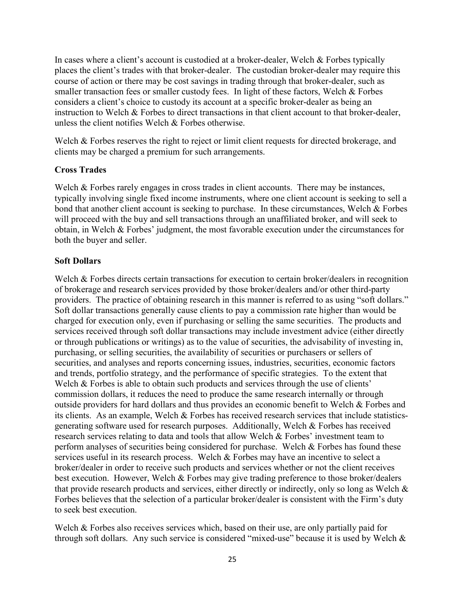In cases where a client's account is custodied at a broker-dealer, Welch & Forbes typically places the client's trades with that broker-dealer. The custodian broker-dealer may require this course of action or there may be cost savings in trading through that broker-dealer, such as smaller transaction fees or smaller custody fees. In light of these factors, Welch & Forbes considers a client's choice to custody its account at a specific broker-dealer as being an instruction to Welch & Forbes to direct transactions in that client account to that broker-dealer, unless the client notifies Welch & Forbes otherwise.

Welch & Forbes reserves the right to reject or limit client requests for directed brokerage, and clients may be charged a premium for such arrangements.

#### Cross Trades

Welch & Forbes rarely engages in cross trades in client accounts. There may be instances, typically involving single fixed income instruments, where one client account is seeking to sell a bond that another client account is seeking to purchase. In these circumstances, Welch & Forbes will proceed with the buy and sell transactions through an unaffiliated broker, and will seek to obtain, in Welch & Forbes' judgment, the most favorable execution under the circumstances for both the buyer and seller.

#### Soft Dollars

Welch & Forbes directs certain transactions for execution to certain broker/dealers in recognition of brokerage and research services provided by those broker/dealers and/or other third-party providers. The practice of obtaining research in this manner is referred to as using "soft dollars." Soft dollar transactions generally cause clients to pay a commission rate higher than would be charged for execution only, even if purchasing or selling the same securities. The products and services received through soft dollar transactions may include investment advice (either directly or through publications or writings) as to the value of securities, the advisability of investing in, purchasing, or selling securities, the availability of securities or purchasers or sellers of securities, and analyses and reports concerning issues, industries, securities, economic factors and trends, portfolio strategy, and the performance of specific strategies. To the extent that Welch & Forbes is able to obtain such products and services through the use of clients' commission dollars, it reduces the need to produce the same research internally or through outside providers for hard dollars and thus provides an economic benefit to Welch & Forbes and its clients. As an example, Welch & Forbes has received research services that include statisticsgenerating software used for research purposes. Additionally, Welch & Forbes has received research services relating to data and tools that allow Welch & Forbes' investment team to perform analyses of securities being considered for purchase. Welch & Forbes has found these services useful in its research process. Welch & Forbes may have an incentive to select a broker/dealer in order to receive such products and services whether or not the client receives best execution. However, Welch & Forbes may give trading preference to those broker/dealers that provide research products and services, either directly or indirectly, only so long as Welch & Forbes believes that the selection of a particular broker/dealer is consistent with the Firm's duty to seek best execution.

Welch & Forbes also receives services which, based on their use, are only partially paid for through soft dollars. Any such service is considered "mixed-use" because it is used by Welch &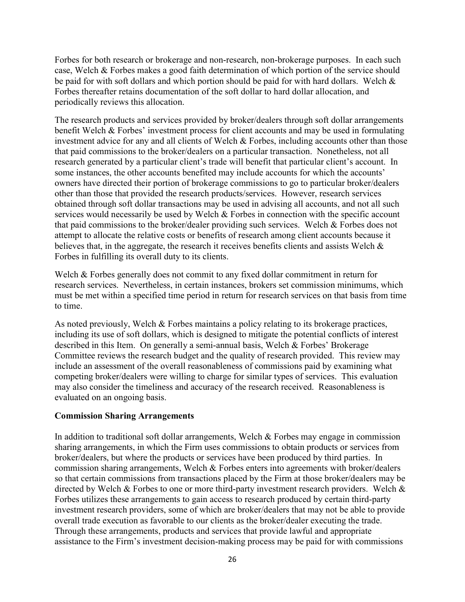Forbes for both research or brokerage and non-research, non-brokerage purposes. In each such case, Welch & Forbes makes a good faith determination of which portion of the service should be paid for with soft dollars and which portion should be paid for with hard dollars. Welch & Forbes thereafter retains documentation of the soft dollar to hard dollar allocation, and periodically reviews this allocation.

The research products and services provided by broker/dealers through soft dollar arrangements benefit Welch & Forbes' investment process for client accounts and may be used in formulating investment advice for any and all clients of Welch  $&$  Forbes, including accounts other than those that paid commissions to the broker/dealers on a particular transaction. Nonetheless, not all research generated by a particular client's trade will benefit that particular client's account. In some instances, the other accounts benefited may include accounts for which the accounts' owners have directed their portion of brokerage commissions to go to particular broker/dealers other than those that provided the research products/services. However, research services obtained through soft dollar transactions may be used in advising all accounts, and not all such services would necessarily be used by Welch & Forbes in connection with the specific account that paid commissions to the broker/dealer providing such services. Welch & Forbes does not attempt to allocate the relative costs or benefits of research among client accounts because it believes that, in the aggregate, the research it receives benefits clients and assists Welch & Forbes in fulfilling its overall duty to its clients.

Welch & Forbes generally does not commit to any fixed dollar commitment in return for research services. Nevertheless, in certain instances, brokers set commission minimums, which must be met within a specified time period in return for research services on that basis from time to time.

As noted previously, Welch & Forbes maintains a policy relating to its brokerage practices, including its use of soft dollars, which is designed to mitigate the potential conflicts of interest described in this Item. On generally a semi-annual basis, Welch & Forbes' Brokerage Committee reviews the research budget and the quality of research provided. This review may include an assessment of the overall reasonableness of commissions paid by examining what competing broker/dealers were willing to charge for similar types of services. This evaluation may also consider the timeliness and accuracy of the research received. Reasonableness is evaluated on an ongoing basis.

#### Commission Sharing Arrangements

In addition to traditional soft dollar arrangements, Welch & Forbes may engage in commission sharing arrangements, in which the Firm uses commissions to obtain products or services from broker/dealers, but where the products or services have been produced by third parties. In commission sharing arrangements, Welch & Forbes enters into agreements with broker/dealers so that certain commissions from transactions placed by the Firm at those broker/dealers may be directed by Welch & Forbes to one or more third-party investment research providers. Welch & Forbes utilizes these arrangements to gain access to research produced by certain third-party investment research providers, some of which are broker/dealers that may not be able to provide overall trade execution as favorable to our clients as the broker/dealer executing the trade. Through these arrangements, products and services that provide lawful and appropriate assistance to the Firm's investment decision-making process may be paid for with commissions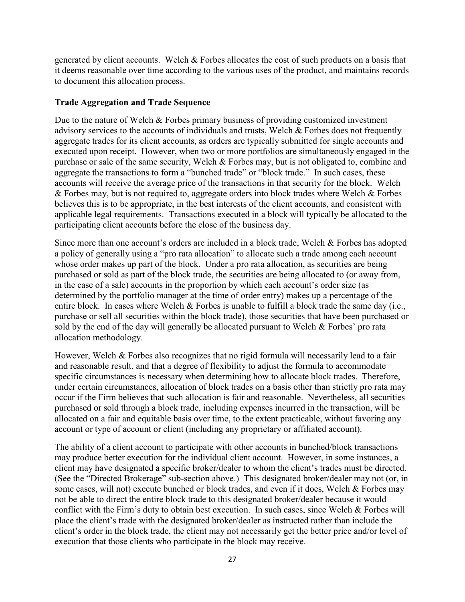generated by client accounts. Welch & Forbes allocates the cost of such products on a basis that it deems reasonable over time according to the various uses of the product, and maintains records to document this allocation process.

#### Trade Aggregation and Trade Sequence

Due to the nature of Welch  $\&$  Forbes primary business of providing customized investment advisory services to the accounts of individuals and trusts, Welch & Forbes does not frequently aggregate trades for its client accounts, as orders are typically submitted for single accounts and executed upon receipt. However, when two or more portfolios are simultaneously engaged in the purchase or sale of the same security, Welch & Forbes may, but is not obligated to, combine and aggregate the transactions to form a "bunched trade" or "block trade." In such cases, these accounts will receive the average price of the transactions in that security for the block. Welch  $&$  Forbes may, but is not required to, aggregate orders into block trades where Welch  $&$  Forbes believes this is to be appropriate, in the best interests of the client accounts, and consistent with applicable legal requirements. Transactions executed in a block will typically be allocated to the participating client accounts before the close of the business day.

Since more than one account's orders are included in a block trade, Welch & Forbes has adopted a policy of generally using a "pro rata allocation" to allocate such a trade among each account whose order makes up part of the block. Under a pro rata allocation, as securities are being purchased or sold as part of the block trade, the securities are being allocated to (or away from, in the case of a sale) accounts in the proportion by which each account's order size (as determined by the portfolio manager at the time of order entry) makes up a percentage of the entire block. In cases where Welch & Forbes is unable to fulfill a block trade the same day (i.e., purchase or sell all securities within the block trade), those securities that have been purchased or sold by the end of the day will generally be allocated pursuant to Welch & Forbes' pro rata allocation methodology.

However, Welch  $\&$  Forbes also recognizes that no rigid formula will necessarily lead to a fair and reasonable result, and that a degree of flexibility to adjust the formula to accommodate specific circumstances is necessary when determining how to allocate block trades. Therefore, under certain circumstances, allocation of block trades on a basis other than strictly pro rata may occur if the Firm believes that such allocation is fair and reasonable. Nevertheless, all securities purchased or sold through a block trade, including expenses incurred in the transaction, will be allocated on a fair and equitable basis over time, to the extent practicable, without favoring any account or type of account or client (including any proprietary or affiliated account).

The ability of a client account to participate with other accounts in bunched/block transactions may produce better execution for the individual client account. However, in some instances, a client may have designated a specific broker/dealer to whom the client's trades must be directed. (See the "Directed Brokerage" sub-section above.) This designated broker/dealer may not (or, in some cases, will not) execute bunched or block trades, and even if it does, Welch & Forbes may not be able to direct the entire block trade to this designated broker/dealer because it would conflict with the Firm's duty to obtain best execution. In such cases, since Welch & Forbes will place the client's trade with the designated broker/dealer as instructed rather than include the client's order in the block trade, the client may not necessarily get the better price and/or level of execution that those clients who participate in the block may receive.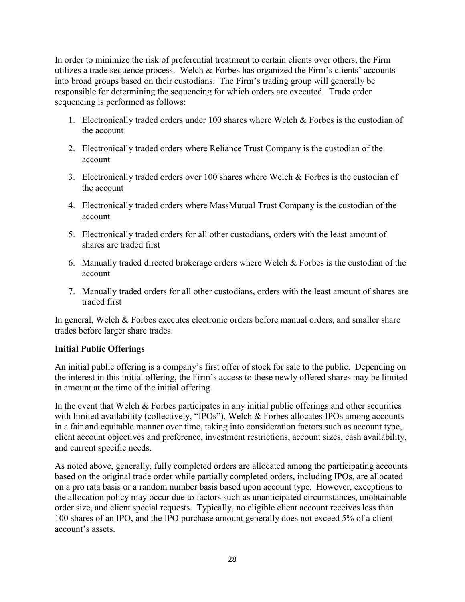In order to minimize the risk of preferential treatment to certain clients over others, the Firm utilizes a trade sequence process. Welch & Forbes has organized the Firm's clients' accounts into broad groups based on their custodians. The Firm's trading group will generally be responsible for determining the sequencing for which orders are executed. Trade order sequencing is performed as follows:

- 1. Electronically traded orders under 100 shares where Welch & Forbes is the custodian of the account
- 2. Electronically traded orders where Reliance Trust Company is the custodian of the account
- 3. Electronically traded orders over 100 shares where Welch & Forbes is the custodian of the account
- 4. Electronically traded orders where MassMutual Trust Company is the custodian of the account
- 5. Electronically traded orders for all other custodians, orders with the least amount of shares are traded first
- 6. Manually traded directed brokerage orders where Welch  $&$  Forbes is the custodian of the account
- 7. Manually traded orders for all other custodians, orders with the least amount of shares are traded first

In general, Welch & Forbes executes electronic orders before manual orders, and smaller share trades before larger share trades.

## Initial Public Offerings

An initial public offering is a company's first offer of stock for sale to the public. Depending on the interest in this initial offering, the Firm's access to these newly offered shares may be limited in amount at the time of the initial offering.

In the event that Welch  $\&$  Forbes participates in any initial public offerings and other securities with limited availability (collectively, "IPOs"), Welch & Forbes allocates IPOs among accounts in a fair and equitable manner over time, taking into consideration factors such as account type, client account objectives and preference, investment restrictions, account sizes, cash availability, and current specific needs.

As noted above, generally, fully completed orders are allocated among the participating accounts based on the original trade order while partially completed orders, including IPOs, are allocated on a pro rata basis or a random number basis based upon account type. However, exceptions to the allocation policy may occur due to factors such as unanticipated circumstances, unobtainable order size, and client special requests. Typically, no eligible client account receives less than 100 shares of an IPO, and the IPO purchase amount generally does not exceed 5% of a client account's assets.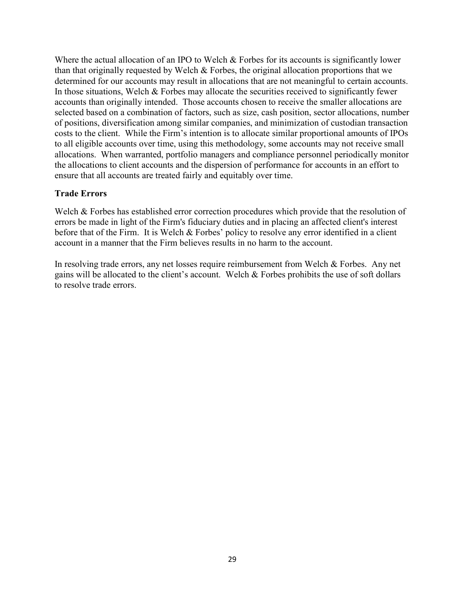Where the actual allocation of an IPO to Welch & Forbes for its accounts is significantly lower than that originally requested by Welch & Forbes, the original allocation proportions that we determined for our accounts may result in allocations that are not meaningful to certain accounts. In those situations, Welch  $&$  Forbes may allocate the securities received to significantly fewer accounts than originally intended. Those accounts chosen to receive the smaller allocations are selected based on a combination of factors, such as size, cash position, sector allocations, number of positions, diversification among similar companies, and minimization of custodian transaction costs to the client. While the Firm's intention is to allocate similar proportional amounts of IPOs to all eligible accounts over time, using this methodology, some accounts may not receive small allocations. When warranted, portfolio managers and compliance personnel periodically monitor the allocations to client accounts and the dispersion of performance for accounts in an effort to ensure that all accounts are treated fairly and equitably over time.

#### Trade Errors

Welch & Forbes has established error correction procedures which provide that the resolution of errors be made in light of the Firm's fiduciary duties and in placing an affected client's interest before that of the Firm. It is Welch & Forbes' policy to resolve any error identified in a client account in a manner that the Firm believes results in no harm to the account.

In resolving trade errors, any net losses require reimbursement from Welch & Forbes. Any net gains will be allocated to the client's account. Welch & Forbes prohibits the use of soft dollars to resolve trade errors.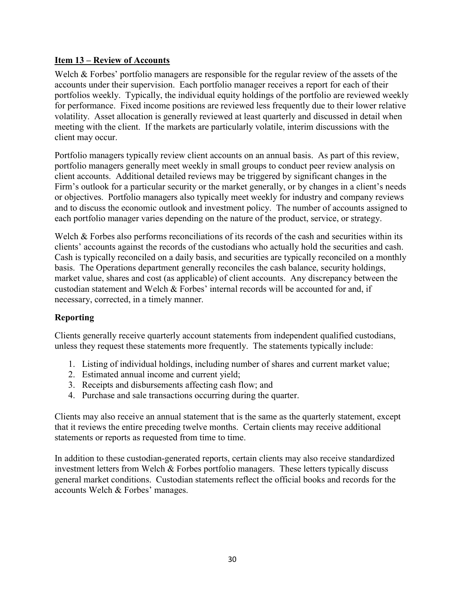#### Item 13 – Review of Accounts

Welch & Forbes' portfolio managers are responsible for the regular review of the assets of the accounts under their supervision. Each portfolio manager receives a report for each of their portfolios weekly. Typically, the individual equity holdings of the portfolio are reviewed weekly for performance. Fixed income positions are reviewed less frequently due to their lower relative volatility. Asset allocation is generally reviewed at least quarterly and discussed in detail when meeting with the client. If the markets are particularly volatile, interim discussions with the client may occur.

Portfolio managers typically review client accounts on an annual basis. As part of this review, portfolio managers generally meet weekly in small groups to conduct peer review analysis on client accounts. Additional detailed reviews may be triggered by significant changes in the Firm's outlook for a particular security or the market generally, or by changes in a client's needs or objectives. Portfolio managers also typically meet weekly for industry and company reviews and to discuss the economic outlook and investment policy. The number of accounts assigned to each portfolio manager varies depending on the nature of the product, service, or strategy.

Welch & Forbes also performs reconciliations of its records of the cash and securities within its clients' accounts against the records of the custodians who actually hold the securities and cash. Cash is typically reconciled on a daily basis, and securities are typically reconciled on a monthly basis. The Operations department generally reconciles the cash balance, security holdings, market value, shares and cost (as applicable) of client accounts. Any discrepancy between the custodian statement and Welch & Forbes' internal records will be accounted for and, if necessary, corrected, in a timely manner.

## Reporting

Clients generally receive quarterly account statements from independent qualified custodians, unless they request these statements more frequently. The statements typically include:

- 1. Listing of individual holdings, including number of shares and current market value;
- 2. Estimated annual income and current yield;
- 3. Receipts and disbursements affecting cash flow; and
- 4. Purchase and sale transactions occurring during the quarter.

Clients may also receive an annual statement that is the same as the quarterly statement, except that it reviews the entire preceding twelve months. Certain clients may receive additional statements or reports as requested from time to time.

In addition to these custodian-generated reports, certain clients may also receive standardized investment letters from Welch & Forbes portfolio managers. These letters typically discuss general market conditions. Custodian statements reflect the official books and records for the accounts Welch & Forbes' manages.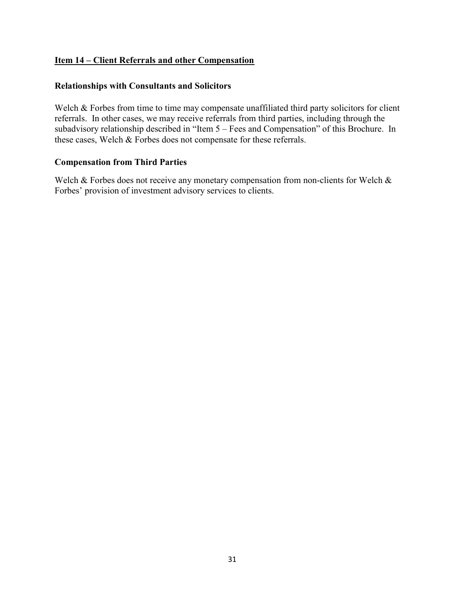## Item 14 – Client Referrals and other Compensation

## Relationships with Consultants and Solicitors

Welch & Forbes from time to time may compensate unaffiliated third party solicitors for client referrals. In other cases, we may receive referrals from third parties, including through the subadvisory relationship described in "Item 5 – Fees and Compensation" of this Brochure. In these cases, Welch & Forbes does not compensate for these referrals.

#### Compensation from Third Parties

Welch & Forbes does not receive any monetary compensation from non-clients for Welch & Forbes' provision of investment advisory services to clients.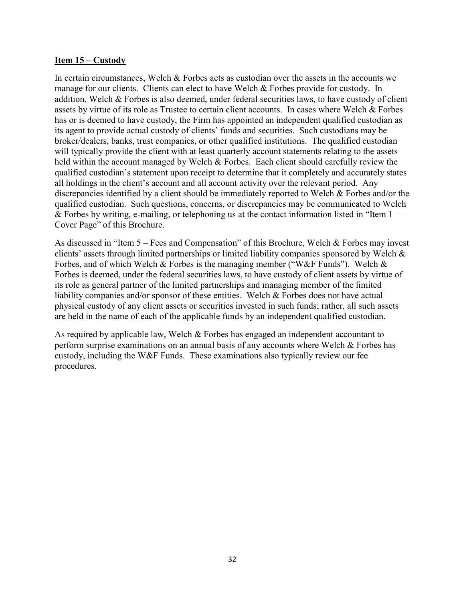#### Item 15 – Custody

In certain circumstances, Welch & Forbes acts as custodian over the assets in the accounts we manage for our clients. Clients can elect to have Welch & Forbes provide for custody. In addition, Welch & Forbes is also deemed, under federal securities laws, to have custody of client assets by virtue of its role as Trustee to certain client accounts. In cases where Welch & Forbes has or is deemed to have custody, the Firm has appointed an independent qualified custodian as its agent to provide actual custody of clients' funds and securities. Such custodians may be broker/dealers, banks, trust companies, or other qualified institutions. The qualified custodian will typically provide the client with at least quarterly account statements relating to the assets held within the account managed by Welch & Forbes. Each client should carefully review the qualified custodian's statement upon receipt to determine that it completely and accurately states all holdings in the client's account and all account activity over the relevant period. Any discrepancies identified by a client should be immediately reported to Welch & Forbes and/or the qualified custodian. Such questions, concerns, or discrepancies may be communicated to Welch & Forbes by writing, e-mailing, or telephoning us at the contact information listed in "Item  $1 -$ Cover Page" of this Brochure.

As discussed in "Item 5 – Fees and Compensation" of this Brochure, Welch & Forbes may invest clients' assets through limited partnerships or limited liability companies sponsored by Welch & Forbes, and of which Welch & Forbes is the managing member ("W&F Funds"). Welch & Forbes is deemed, under the federal securities laws, to have custody of client assets by virtue of its role as general partner of the limited partnerships and managing member of the limited liability companies and/or sponsor of these entities. Welch & Forbes does not have actual physical custody of any client assets or securities invested in such funds; rather, all such assets are held in the name of each of the applicable funds by an independent qualified custodian.

As required by applicable law, Welch & Forbes has engaged an independent accountant to perform surprise examinations on an annual basis of any accounts where Welch & Forbes has custody, including the W&F Funds. These examinations also typically review our fee procedures.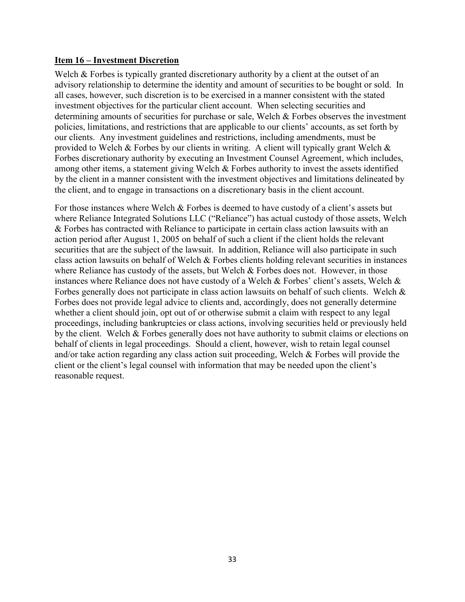#### Item 16 – Investment Discretion

Welch & Forbes is typically granted discretionary authority by a client at the outset of an advisory relationship to determine the identity and amount of securities to be bought or sold. In all cases, however, such discretion is to be exercised in a manner consistent with the stated investment objectives for the particular client account. When selecting securities and determining amounts of securities for purchase or sale, Welch & Forbes observes the investment policies, limitations, and restrictions that are applicable to our clients' accounts, as set forth by our clients. Any investment guidelines and restrictions, including amendments, must be provided to Welch & Forbes by our clients in writing. A client will typically grant Welch & Forbes discretionary authority by executing an Investment Counsel Agreement, which includes, among other items, a statement giving Welch & Forbes authority to invest the assets identified by the client in a manner consistent with the investment objectives and limitations delineated by the client, and to engage in transactions on a discretionary basis in the client account.

For those instances where Welch & Forbes is deemed to have custody of a client's assets but where Reliance Integrated Solutions LLC ("Reliance") has actual custody of those assets, Welch & Forbes has contracted with Reliance to participate in certain class action lawsuits with an action period after August 1, 2005 on behalf of such a client if the client holds the relevant securities that are the subject of the lawsuit. In addition, Reliance will also participate in such class action lawsuits on behalf of Welch & Forbes clients holding relevant securities in instances where Reliance has custody of the assets, but Welch  $&$  Forbes does not. However, in those instances where Reliance does not have custody of a Welch & Forbes' client's assets, Welch & Forbes generally does not participate in class action lawsuits on behalf of such clients. Welch & Forbes does not provide legal advice to clients and, accordingly, does not generally determine whether a client should join, opt out of or otherwise submit a claim with respect to any legal proceedings, including bankruptcies or class actions, involving securities held or previously held by the client. Welch & Forbes generally does not have authority to submit claims or elections on behalf of clients in legal proceedings. Should a client, however, wish to retain legal counsel and/or take action regarding any class action suit proceeding, Welch & Forbes will provide the client or the client's legal counsel with information that may be needed upon the client's reasonable request.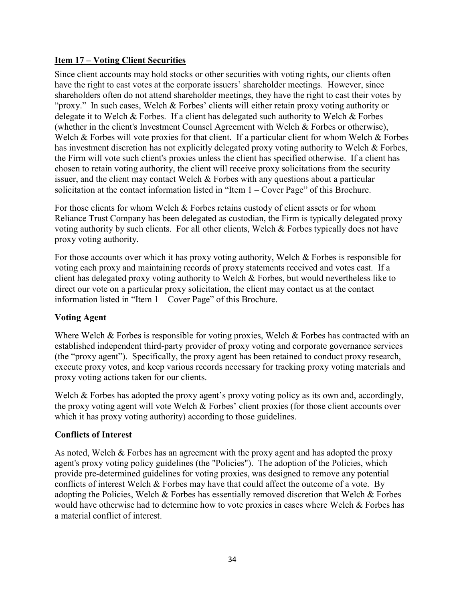## Item 17 – Voting Client Securities

Since client accounts may hold stocks or other securities with voting rights, our clients often have the right to cast votes at the corporate issuers' shareholder meetings. However, since shareholders often do not attend shareholder meetings, they have the right to cast their votes by "proxy." In such cases, Welch & Forbes' clients will either retain proxy voting authority or delegate it to Welch & Forbes. If a client has delegated such authority to Welch & Forbes (whether in the client's Investment Counsel Agreement with Welch & Forbes or otherwise), Welch & Forbes will vote proxies for that client. If a particular client for whom Welch & Forbes has investment discretion has not explicitly delegated proxy voting authority to Welch & Forbes, the Firm will vote such client's proxies unless the client has specified otherwise. If a client has chosen to retain voting authority, the client will receive proxy solicitations from the security issuer, and the client may contact Welch  $\&$  Forbes with any questions about a particular solicitation at the contact information listed in "Item 1 – Cover Page" of this Brochure.

For those clients for whom Welch & Forbes retains custody of client assets or for whom Reliance Trust Company has been delegated as custodian, the Firm is typically delegated proxy voting authority by such clients. For all other clients, Welch & Forbes typically does not have proxy voting authority.

For those accounts over which it has proxy voting authority, Welch & Forbes is responsible for voting each proxy and maintaining records of proxy statements received and votes cast. If a client has delegated proxy voting authority to Welch & Forbes, but would nevertheless like to direct our vote on a particular proxy solicitation, the client may contact us at the contact information listed in "Item 1 – Cover Page" of this Brochure.

## Voting Agent

Where Welch & Forbes is responsible for voting proxies, Welch & Forbes has contracted with an established independent third-party provider of proxy voting and corporate governance services (the "proxy agent"). Specifically, the proxy agent has been retained to conduct proxy research, execute proxy votes, and keep various records necessary for tracking proxy voting materials and proxy voting actions taken for our clients.

Welch & Forbes has adopted the proxy agent's proxy voting policy as its own and, accordingly, the proxy voting agent will vote Welch & Forbes' client proxies (for those client accounts over which it has proxy voting authority) according to those guidelines.

## Conflicts of Interest

As noted, Welch & Forbes has an agreement with the proxy agent and has adopted the proxy agent's proxy voting policy guidelines (the "Policies"). The adoption of the Policies, which provide pre-determined guidelines for voting proxies, was designed to remove any potential conflicts of interest Welch & Forbes may have that could affect the outcome of a vote. By adopting the Policies, Welch & Forbes has essentially removed discretion that Welch & Forbes would have otherwise had to determine how to vote proxies in cases where Welch & Forbes has a material conflict of interest.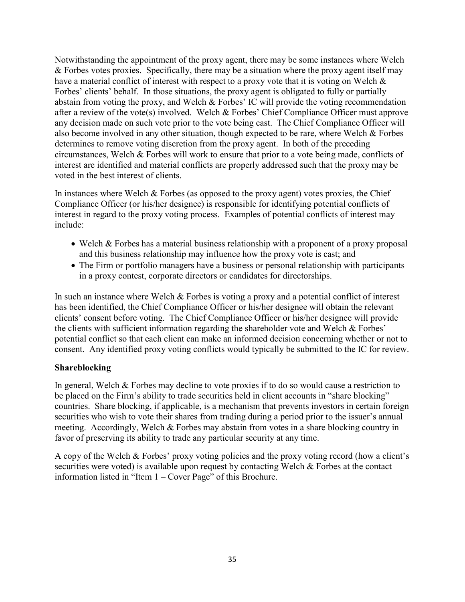Notwithstanding the appointment of the proxy agent, there may be some instances where Welch & Forbes votes proxies. Specifically, there may be a situation where the proxy agent itself may have a material conflict of interest with respect to a proxy vote that it is voting on Welch & Forbes' clients' behalf. In those situations, the proxy agent is obligated to fully or partially abstain from voting the proxy, and Welch & Forbes' IC will provide the voting recommendation after a review of the vote(s) involved. Welch & Forbes' Chief Compliance Officer must approve any decision made on such vote prior to the vote being cast. The Chief Compliance Officer will also become involved in any other situation, though expected to be rare, where Welch & Forbes determines to remove voting discretion from the proxy agent. In both of the preceding circumstances, Welch & Forbes will work to ensure that prior to a vote being made, conflicts of interest are identified and material conflicts are properly addressed such that the proxy may be voted in the best interest of clients.

In instances where Welch & Forbes (as opposed to the proxy agent) votes proxies, the Chief Compliance Officer (or his/her designee) is responsible for identifying potential conflicts of interest in regard to the proxy voting process. Examples of potential conflicts of interest may include:

- Welch & Forbes has a material business relationship with a proponent of a proxy proposal and this business relationship may influence how the proxy vote is cast; and
- The Firm or portfolio managers have a business or personal relationship with participants in a proxy contest, corporate directors or candidates for directorships.

In such an instance where Welch  $&$  Forbes is voting a proxy and a potential conflict of interest has been identified, the Chief Compliance Officer or his/her designee will obtain the relevant clients' consent before voting. The Chief Compliance Officer or his/her designee will provide the clients with sufficient information regarding the shareholder vote and Welch & Forbes' potential conflict so that each client can make an informed decision concerning whether or not to consent. Any identified proxy voting conflicts would typically be submitted to the IC for review.

#### Shareblocking

In general, Welch & Forbes may decline to vote proxies if to do so would cause a restriction to be placed on the Firm's ability to trade securities held in client accounts in "share blocking" countries. Share blocking, if applicable, is a mechanism that prevents investors in certain foreign securities who wish to vote their shares from trading during a period prior to the issuer's annual meeting. Accordingly, Welch & Forbes may abstain from votes in a share blocking country in favor of preserving its ability to trade any particular security at any time.

A copy of the Welch & Forbes' proxy voting policies and the proxy voting record (how a client's securities were voted) is available upon request by contacting Welch & Forbes at the contact information listed in "Item 1 – Cover Page" of this Brochure.